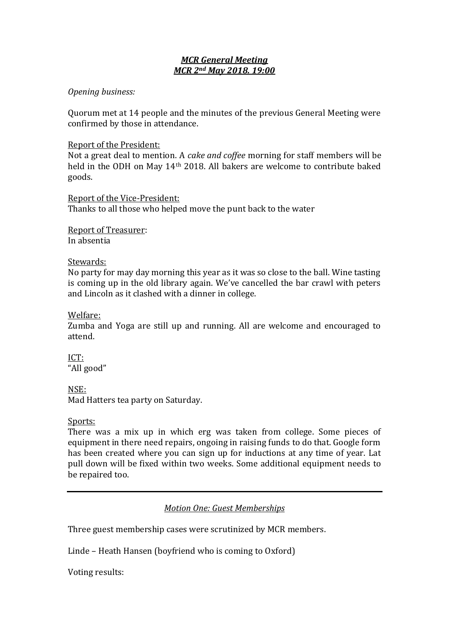# *MCR General Meeting MCR 2nd May 2018. 19:00*

## *Opening business:*

Quorum met at 14 people and the minutes of the previous General Meeting were confirmed by those in attendance.

## Report of the President:

Not a great deal to mention. A *cake and coffee* morning for staff members will be held in the ODH on May 14th 2018. All bakers are welcome to contribute baked goods.

Report of the Vice-President: Thanks to all those who helped move the punt back to the water

Report of Treasurer: In absentia

### Stewards:

No party for may day morning this year as it was so close to the ball. Wine tasting is coming up in the old library again. We've cancelled the bar crawl with peters and Lincoln as it clashed with a dinner in college.

## Welfare:

Zumba and Yoga are still up and running. All are welcome and encouraged to attend.

ICT: "All good"

NSE:

Mad Hatters tea party on Saturday.

### Sports:

There was a mix up in which erg was taken from college. Some pieces of equipment in there need repairs, ongoing in raising funds to do that. Google form has been created where you can sign up for inductions at any time of year. Lat pull down will be fixed within two weeks. Some additional equipment needs to be repaired too.

*Motion One: Guest Memberships*

Three guest membership cases were scrutinized by MCR members.

Linde – Heath Hansen (boyfriend who is coming to Oxford)

Voting results: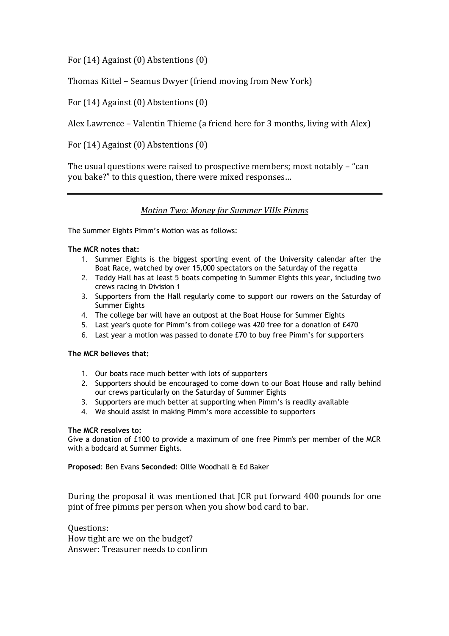For (14) Against (0) Abstentions (0)

Thomas Kittel – Seamus Dwyer (friend moving from New York)

For (14) Against (0) Abstentions (0)

Alex Lawrence – Valentin Thieme (a friend here for 3 months, living with Alex)

For (14) Against (0) Abstentions (0)

The usual questions were raised to prospective members; most notably – "can you bake?" to this question, there were mixed responses…

### *Motion Two: Money for Summer VIIIs Pimms*

The Summer Eights Pimm's Motion was as follows:

### **The MCR notes that:**

- 1. Summer Eights is the biggest sporting event of the University calendar after the Boat Race, watched by over 15,000 spectators on the Saturday of the regatta
- 2. Teddy Hall has at least 5 boats competing in Summer Eights this year, including two crews racing in Division 1
- 3. Supporters from the Hall regularly come to support our rowers on the Saturday of Summer Eights
- 4. The college bar will have an outpost at the Boat House for Summer Eights
- 5. Last year's quote for Pimm's from college was 420 free for a donation of £470
- 6. Last year a motion was passed to donate £70 to buy free Pimm's for supporters

### **The MCR believes that:**

- 1. Our boats race much better with lots of supporters
- 2. Supporters should be encouraged to come down to our Boat House and rally behind our crews particularly on the Saturday of Summer Eights
- 3. Supporters are much better at supporting when Pimm's is readily available
- 4. We should assist in making Pimm's more accessible to supporters

### **The MCR resolves to:**

Give a donation of £100 to provide a maximum of one free Pimm's per member of the MCR with a bodcard at Summer Eights.

**Proposed**: Ben Evans **Seconded**: Ollie Woodhall & Ed Baker

During the proposal it was mentioned that JCR put forward 400 pounds for one pint of free pimms per person when you show bod card to bar.

Questions: How tight are we on the budget? Answer: Treasurer needs to confirm